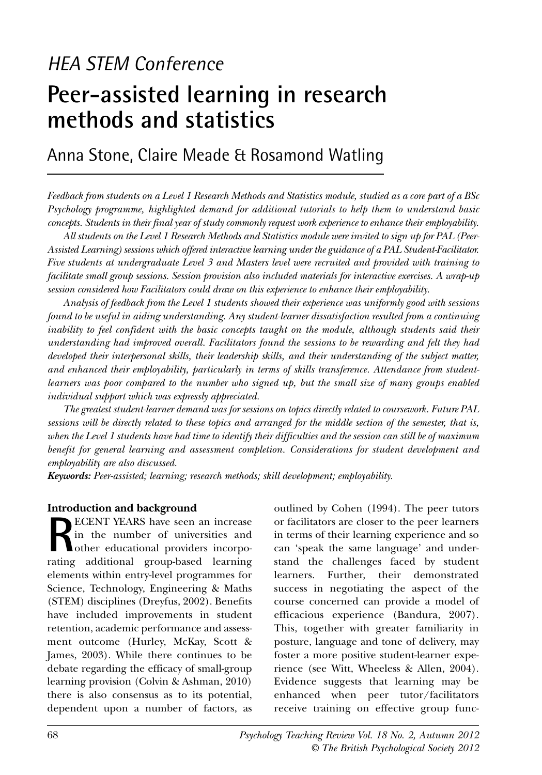# *HEA STEM Conference* **Peer-assisted learning in research methods and statistics**

Anna Stone, Claire Meade & Rosamond Watling

*Feedback from students on a Level 1 Research Methods and Statistics module, studied as a core part of a BSc Psychology programme, highlighted demand for additional tutorials to help them to understand basic concepts. Students in their final year of study commonly request work experience to enhance their employability.* 

*All students on the Level 1 Research Methods and Statistics module were invited to sign up for PAL (Peer-Assisted Learning) sessions which offered interactive learning under the guidance of a PAL Student-Facilitator. Five students at undergraduate Level 3 and Masters level were recruited and provided with training to facilitate small group sessions. Session provision also included materials for interactive exercises. A wrap-up session considered how Facilitators could draw on this experience to enhance their employability.* 

*Analysis of feedback from the Level 1 students showed their experience was uniformly good with sessions found to be useful in aiding understanding. Any student-learner dissatisfaction resulted from a continuing inability to feel confident with the basic concepts taught on the module, although students said their understanding had improved overall. Facilitators found the sessions to be rewarding and felt they had developed their interpersonal skills, their leadership skills, and their understanding of the subject matter, and enhanced their employability, particularly in terms of skills transference. Attendance from studentlearners was poor compared to the number who signed up, but the small size of many groups enabled individual support which was expressly appreciated.*

*The greatest student-learner demand was for sessions on topics directly related to coursework. Future PAL sessions will be directly related to these topics and arranged for the middle section of the semester, that is, when the Level 1 students have had time to identify their difficulties and the session can still be of maximum benefit for general learning and assessment completion. Considerations for student development and employability are also discussed.* 

*Keywords: Peer-assisted; learning; research methods; skill development; employability.*

#### **Introduction and background**

**RECENT YEARS** have seen an increase in the number of universities and other educational providers incorporating additional group-based learning elements within entry-level programmes for Science, Technology, Engineering & Maths (STEM) disciplines (Dreyfus, 2002). Benefits have included improvements in student retention, academic performance and assessment outcome (Hurley, McKay, Scott & James, 2003). While there continues to be debate regarding the efficacy of small-group learning provision (Colvin & Ashman, 2010) there is also consensus as to its potential, dependent upon a number of factors, as outlined by Cohen (1994). The peer tutors or facilitators are closer to the peer learners in terms of their learning experience and so can 'speak the same language' and understand the challenges faced by student learners. Further, their demonstrated success in negotiating the aspect of the course concerned can provide a model of efficacious experience (Bandura, 2007). This, together with greater familiarity in posture, language and tone of delivery, may foster a more positive student-learner experience (see Witt, Wheeless & Allen, 2004). Evidence suggests that learning may be enhanced when peer tutor/facilitators receive training on effective group func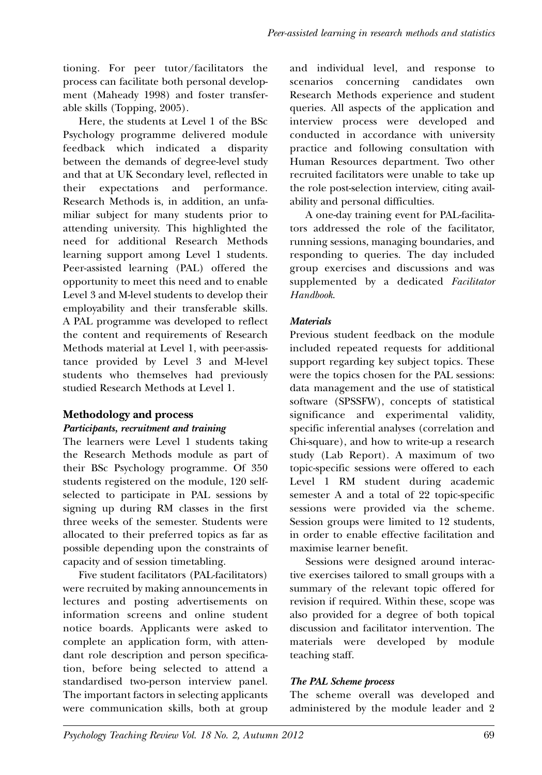tioning. For peer tutor/facilitators the process can facilitate both personal development (Maheady 1998) and foster transferable skills (Topping, 2005).

Here, the students at Level 1 of the BSc Psychology programme delivered module feedback which indicated a disparity between the demands of degree-level study and that at UK Secondary level, reflected in their expectations and performance. Research Methods is, in addition, an unfamiliar subject for many students prior to attending university. This highlighted the need for additional Research Methods learning support among Level 1 students. Peer-assisted learning (PAL) offered the opportunity to meet this need and to enable Level 3 and M-level students to develop their employability and their transferable skills. A PAL programme was developed to reflect the content and requirements of Research Methods material at Level 1, with peer-assistance provided by Level 3 and M-level students who themselves had previously studied Research Methods at Level 1.

# **Methodology and process**

## *Participants, recruitment and training*

The learners were Level 1 students taking the Research Methods module as part of their BSc Psychology programme. Of 350 students registered on the module, 120 selfselected to participate in PAL sessions by signing up during RM classes in the first three weeks of the semester. Students were allocated to their preferred topics as far as possible depending upon the constraints of capacity and of session timetabling.

Five student facilitators (PAL-facilitators) were recruited by making announcements in lectures and posting advertisements on information screens and online student notice boards. Applicants were asked to complete an application form, with attendant role description and person specification, before being selected to attend a standardised two-person interview panel. The important factors in selecting applicants were communication skills, both at group and individual level, and response to scenarios concerning candidates own Research Methods experience and student queries. All aspects of the application and interview process were developed and conducted in accordance with university practice and following consultation with Human Resources department. Two other recruited facilitators were unable to take up the role post-selection interview, citing availability and personal difficulties.

A one-day training event for PAL-facilitators addressed the role of the facilitator, running sessions, managing boundaries, and responding to queries. The day included group exercises and discussions and was supplemented by a dedicated *Facilitator Handbook*.

# *Materials*

Previous student feedback on the module included repeated requests for additional support regarding key subject topics. These were the topics chosen for the PAL sessions: data management and the use of statistical software (SPSSFW), concepts of statistical significance and experimental validity, specific inferential analyses (correlation and Chi-square), and how to write-up a research study (Lab Report). A maximum of two topic-specific sessions were offered to each Level 1 RM student during academic semester A and a total of 22 topic-specific sessions were provided via the scheme. Session groups were limited to 12 students, in order to enable effective facilitation and maximise learner benefit.

Sessions were designed around interactive exercises tailored to small groups with a summary of the relevant topic offered for revision if required. Within these, scope was also provided for a degree of both topical discussion and facilitator intervention. The materials were developed by module teaching staff.

# *The PAL Scheme process*

The scheme overall was developed and administered by the module leader and 2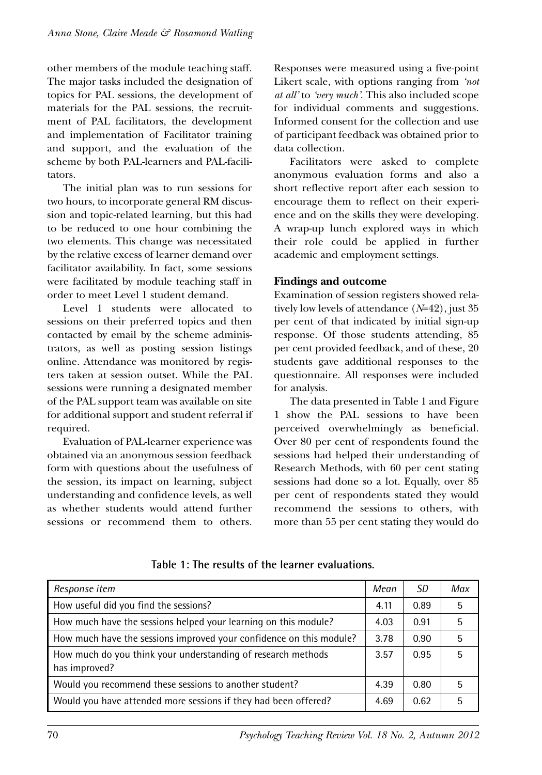other members of the module teaching staff. The major tasks included the designation of topics for PAL sessions, the development of materials for the PAL sessions, the recruitment of PAL facilitators, the development and implementation of Facilitator training and support, and the evaluation of the scheme by both PAL-learners and PAL-facilitators.

The initial plan was to run sessions for two hours, to incorporate general RM discussion and topic-related learning, but this had to be reduced to one hour combining the two elements. This change was necessitated by the relative excess of learner demand over facilitator availability. In fact, some sessions were facilitated by module teaching staff in order to meet Level 1 student demand.

Level 1 students were allocated to sessions on their preferred topics and then contacted by email by the scheme administrators, as well as posting session listings online. Attendance was monitored by registers taken at session outset. While the PAL sessions were running a designated member of the PAL support team was available on site for additional support and student referral if required.

Evaluation of PAL-learner experience was obtained via an anonymous session feedback form with questions about the usefulness of the session, its impact on learning, subject understanding and confidence levels, as well as whether students would attend further sessions or recommend them to others.

Responses were measured using a five-point Likert scale, with options ranging from *'not at all'* to *'very much'*. This also included scope for individual comments and suggestions. Informed consent for the collection and use of participant feedback was obtained prior to data collection.

Facilitators were asked to complete anonymous evaluation forms and also a short reflective report after each session to encourage them to reflect on their experience and on the skills they were developing. A wrap-up lunch explored ways in which their role could be applied in further academic and employment settings.

# **Findings and outcome**

Examination of session registers showed relatively low levels of attendance (*N*=42), just 35 per cent of that indicated by initial sign-up response. Of those students attending, 85 per cent provided feedback, and of these, 20 students gave additional responses to the questionnaire. All responses were included for analysis.

The data presented in Table 1 and Figure 1 show the PAL sessions to have been perceived overwhelmingly as beneficial. Over 80 per cent of respondents found the sessions had helped their understanding of Research Methods, with 60 per cent stating sessions had done so a lot. Equally, over 85 per cent of respondents stated they would recommend the sessions to others, with more than 55 per cent stating they would do

| Response item                                                                 | Mean | SD.  | Max |
|-------------------------------------------------------------------------------|------|------|-----|
| How useful did you find the sessions?                                         | 4.11 | 0.89 | 5   |
| How much have the sessions helped your learning on this module?               | 4.03 | 0.91 | 5   |
| How much have the sessions improved your confidence on this module?           | 3.78 | 0.90 | 5   |
| How much do you think your understanding of research methods<br>has improved? | 3.57 | 0.95 | 5   |
| Would you recommend these sessions to another student?                        | 4.39 | 0.80 | 5   |
| Would you have attended more sessions if they had been offered?               | 4.69 | 0.62 | 5   |

**Table 1: The results of the learner evaluations.**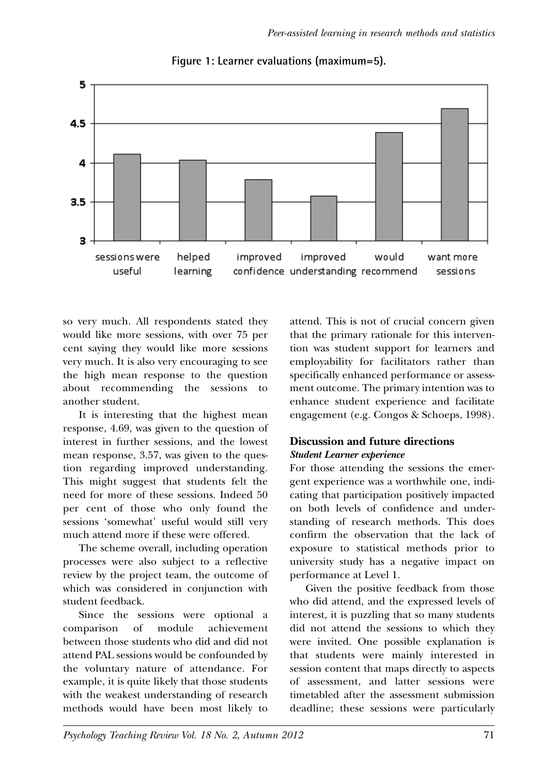

**Figure 1: Learner evaluations (maximum=5).**

so very much. All respondents stated they would like more sessions, with over 75 per cent saying they would like more sessions very much. It is also very encouraging to see the high mean response to the question about recommending the sessions to another student.

It is interesting that the highest mean response, 4.69, was given to the question of interest in further sessions, and the lowest mean response, 3.57, was given to the question regarding improved understanding. This might suggest that students felt the need for more of these sessions. Indeed 50 per cent of those who only found the sessions 'somewhat' useful would still very much attend more if these were offered.

The scheme overall, including operation processes were also subject to a reflective review by the project team, the outcome of which was considered in conjunction with student feedback.

Since the sessions were optional a comparison of module achievement between those students who did and did not attend PAL sessions would be confounded by the voluntary nature of attendance. For example, it is quite likely that those students with the weakest understanding of research methods would have been most likely to attend. This is not of crucial concern given that the primary rationale for this intervention was student support for learners and employability for facilitators rather than specifically enhanced performance or assessment outcome. The primary intention was to enhance student experience and facilitate engagement (e.g. Congos & Schoeps, 1998).

# **Discussion and future directions** *Student Learner experience*

For those attending the sessions the emergent experience was a worthwhile one, indicating that participation positively impacted on both levels of confidence and understanding of research methods. This does confirm the observation that the lack of exposure to statistical methods prior to university study has a negative impact on performance at Level 1.

Given the positive feedback from those who did attend, and the expressed levels of interest, it is puzzling that so many students did not attend the sessions to which they were invited. One possible explanation is that students were mainly interested in session content that maps directly to aspects of assessment, and latter sessions were timetabled after the assessment submission deadline; these sessions were particularly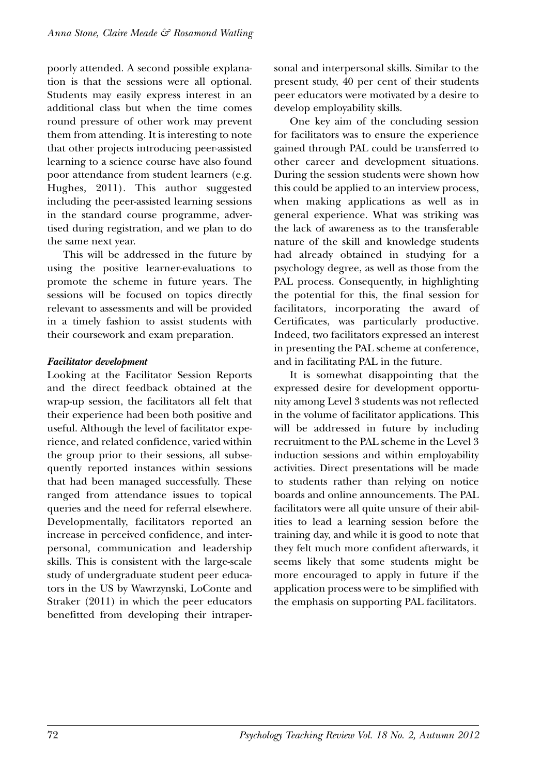poorly attended. A second possible explanation is that the sessions were all optional. Students may easily express interest in an additional class but when the time comes round pressure of other work may prevent them from attending. It is interesting to note that other projects introducing peer-assisted learning to a science course have also found poor attendance from student learners (e.g. Hughes, 2011). This author suggested including the peer-assisted learning sessions in the standard course programme, advertised during registration, and we plan to do the same next year.

This will be addressed in the future by using the positive learner-evaluations to promote the scheme in future years. The sessions will be focused on topics directly relevant to assessments and will be provided in a timely fashion to assist students with their coursework and exam preparation.

## *Facilitator development*

Looking at the Facilitator Session Reports and the direct feedback obtained at the wrap-up session, the facilitators all felt that their experience had been both positive and useful. Although the level of facilitator experience, and related confidence, varied within the group prior to their sessions, all subsequently reported instances within sessions that had been managed successfully. These ranged from attendance issues to topical queries and the need for referral elsewhere. Developmentally, facilitators reported an increase in perceived confidence, and interpersonal, communication and leadership skills. This is consistent with the large-scale study of undergraduate student peer educators in the US by Wawrzynski, LoConte and Straker (2011) in which the peer educators benefitted from developing their intrapersonal and interpersonal skills. Similar to the present study, 40 per cent of their students peer educators were motivated by a desire to develop employability skills.

One key aim of the concluding session for facilitators was to ensure the experience gained through PAL could be transferred to other career and development situations. During the session students were shown how this could be applied to an interview process, when making applications as well as in general experience. What was striking was the lack of awareness as to the transferable nature of the skill and knowledge students had already obtained in studying for a psychology degree, as well as those from the PAL process. Consequently, in highlighting the potential for this, the final session for facilitators, incorporating the award of Certificates, was particularly productive. Indeed, two facilitators expressed an interest in presenting the PAL scheme at conference, and in facilitating PAL in the future.

It is somewhat disappointing that the expressed desire for development opportunity among Level 3 students was not reflected in the volume of facilitator applications. This will be addressed in future by including recruitment to the PAL scheme in the Level 3 induction sessions and within employability activities. Direct presentations will be made to students rather than relying on notice boards and online announcements. The PAL facilitators were all quite unsure of their abilities to lead a learning session before the training day, and while it is good to note that they felt much more confident afterwards, it seems likely that some students might be more encouraged to apply in future if the application process were to be simplified with the emphasis on supporting PAL facilitators.